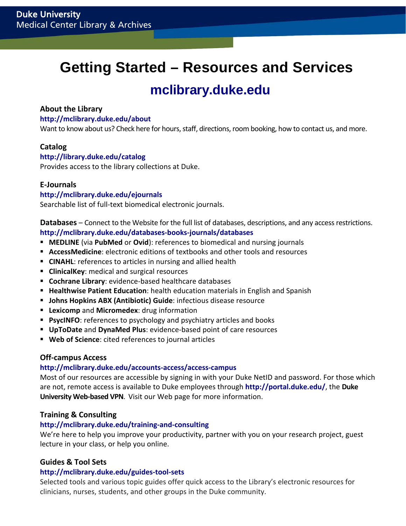# **Getting Started – Resources and Services**

## **[mclibrary.duke.edu](http://mclibrary.duke.edu/)**

## **About the Library**

## **<http://mclibrary.duke.edu/about>**

Want to know about us? Check here for hours, staff, directions, room booking, how to contact us, and more.

## **Catalog**

## **<http://library.duke.edu/catalog>**

Provides access to the library collections at Duke.

## **E-Journals**

## **<http://mclibrary.duke.edu/ejournals>**

Searchable list of full-text biomedical electronic journals.

**Databases** – Connect to the Website for the full list of databases, descriptions, and any access restrictions. **<http://mclibrary.duke.edu/databases-books-journals/databases>**

- **[MEDLINE](https://www.mclibrary.duke.edu/databases/medline/)** (via **PubMed** or **Ovid**): references to biomedical and nursing journals
- **AccessMedicine**: electronic editions of textbooks and other tools and resources
- **[CINAHL](http://www.mclibrary.duke.edu/databases/nursing):** references to articles in nursing and allied health
- **ClinicalKey**: medical and surgical resources
- **Cochrane Library**: evidence-based healthcare databases
- **Healthwise Patient Education**: health education materials in English and Spanish
- **Johns Hopkins ABX (Antibiotic) Guide**: infectious disease resource
- **Lexicomp** and **Micromedex**: drug information
- **Perigmance**: references to psychology and psychiatry articles and books
- **UpToDate** and **DynaMed Plus**: evidence-based point of care resources
- **Web of Science**: cited references to journal articles

## **Off-campus Access**

#### **<http://mclibrary.duke.edu/accounts-access/access-campus>**

Most of our resources are accessible by signing in with your Duke NetID and password. For those which are not, remote access is available to Duke employees through **<http://portal.duke.edu/>**, the **Duke University Web-based VPN**. Visit our Web page for more information.

## **Training & Consulting**

## **<http://mclibrary.duke.edu/training-and-consulting>**

We're here to help you improve your productivity, partner with you on your research project, guest lecture in your class, or help you online.

## **Guides & Tool Sets**

#### **<http://mclibrary.duke.edu/guides-tool-sets>**

Selected tools and various topic guides offer quick access to the Library's electronic resources for clinicians, nurses, students, and other groups in the Duke community.